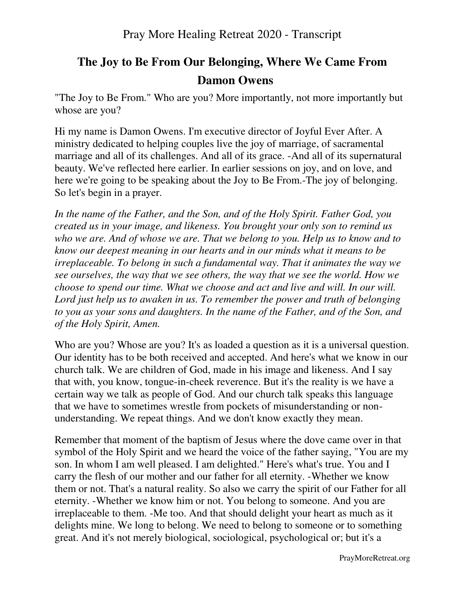# **The Joy to Be From Our Belonging, Where We Came From Damon Owens**

"The Joy to Be From." Who are you? More importantly, not more importantly but whose are you?

Hi my name is Damon Owens. I'm executive director of Joyful Ever After. A ministry dedicated to helping couples live the joy of marriage, of sacramental marriage and all of its challenges. And all of its grace. -And all of its supernatural beauty. We've reflected here earlier. In earlier sessions on joy, and on love, and here we're going to be speaking about the Joy to Be From.-The joy of belonging. So let's begin in a prayer.

*In the name of the Father, and the Son, and of the Holy Spirit. Father God, you created us in your image, and likeness. You brought your only son to remind us who we are. And of whose we are. That we belong to you. Help us to know and to know our deepest meaning in our hearts and in our minds what it means to be irreplaceable. To belong in such a fundamental way. That it animates the way we see ourselves, the way that we see others, the way that we see the world. How we choose to spend our time. What we choose and act and live and will. In our will. Lord just help us to awaken in us. To remember the power and truth of belonging to you as your sons and daughters. In the name of the Father, and of the Son, and of the Holy Spirit, Amen.*

Who are you? Whose are you? It's as loaded a question as it is a universal question. Our identity has to be both received and accepted. And here's what we know in our church talk. We are children of God, made in his image and likeness. And I say that with, you know, tongue-in-cheek reverence. But it's the reality is we have a certain way we talk as people of God. And our church talk speaks this language that we have to sometimes wrestle from pockets of misunderstanding or nonunderstanding. We repeat things. And we don't know exactly they mean.

Remember that moment of the baptism of Jesus where the dove came over in that symbol of the Holy Spirit and we heard the voice of the father saying, "You are my son. In whom I am well pleased. I am delighted." Here's what's true. You and I carry the flesh of our mother and our father for all eternity. -Whether we know them or not. That's a natural reality. So also we carry the spirit of our Father for all eternity. -Whether we know him or not. You belong to someone. And you are irreplaceable to them. -Me too. And that should delight your heart as much as it delights mine. We long to belong. We need to belong to someone or to something great. And it's not merely biological, sociological, psychological or; but it's a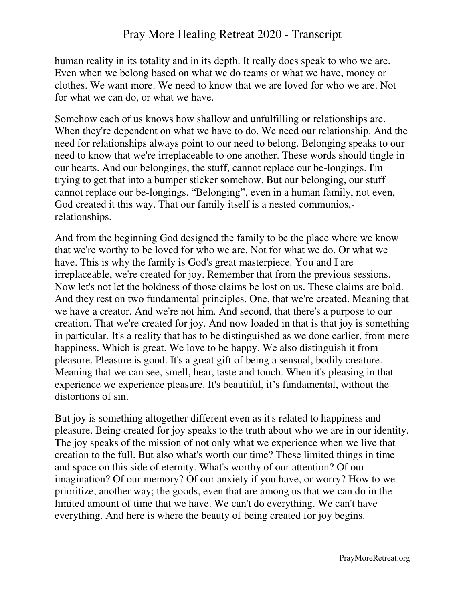human reality in its totality and in its depth. It really does speak to who we are. Even when we belong based on what we do teams or what we have, money or clothes. We want more. We need to know that we are loved for who we are. Not for what we can do, or what we have.

Somehow each of us knows how shallow and unfulfilling or relationships are. When they're dependent on what we have to do. We need our relationship. And the need for relationships always point to our need to belong. Belonging speaks to our need to know that we're irreplaceable to one another. These words should tingle in our hearts. And our belongings, the stuff, cannot replace our be-longings. I'm trying to get that into a bumper sticker somehow. But our belonging, our stuff cannot replace our be-longings. "Belonging", even in a human family, not even, God created it this way. That our family itself is a nested communios, relationships.

And from the beginning God designed the family to be the place where we know that we're worthy to be loved for who we are. Not for what we do. Or what we have. This is why the family is God's great masterpiece. You and I are irreplaceable, we're created for joy. Remember that from the previous sessions. Now let's not let the boldness of those claims be lost on us. These claims are bold. And they rest on two fundamental principles. One, that we're created. Meaning that we have a creator. And we're not him. And second, that there's a purpose to our creation. That we're created for joy. And now loaded in that is that joy is something in particular. It's a reality that has to be distinguished as we done earlier, from mere happiness. Which is great. We love to be happy. We also distinguish it from pleasure. Pleasure is good. It's a great gift of being a sensual, bodily creature. Meaning that we can see, smell, hear, taste and touch. When it's pleasing in that experience we experience pleasure. It's beautiful, it's fundamental, without the distortions of sin.

But joy is something altogether different even as it's related to happiness and pleasure. Being created for joy speaks to the truth about who we are in our identity. The joy speaks of the mission of not only what we experience when we live that creation to the full. But also what's worth our time? These limited things in time and space on this side of eternity. What's worthy of our attention? Of our imagination? Of our memory? Of our anxiety if you have, or worry? How to we prioritize, another way; the goods, even that are among us that we can do in the limited amount of time that we have. We can't do everything. We can't have everything. And here is where the beauty of being created for joy begins.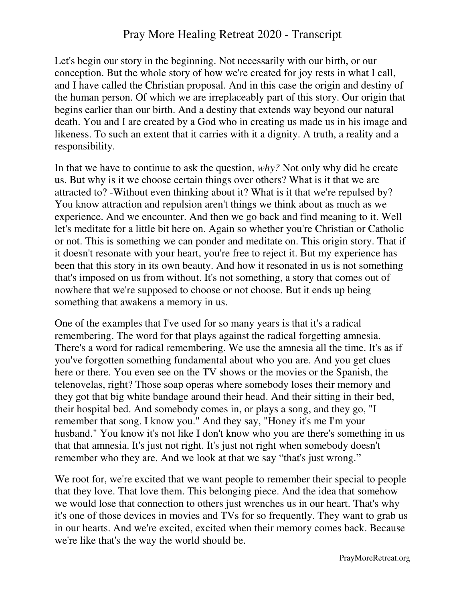Let's begin our story in the beginning. Not necessarily with our birth, or our conception. But the whole story of how we're created for joy rests in what I call, and I have called the Christian proposal. And in this case the origin and destiny of the human person. Of which we are irreplaceably part of this story. Our origin that begins earlier than our birth. And a destiny that extends way beyond our natural death. You and I are created by a God who in creating us made us in his image and likeness. To such an extent that it carries with it a dignity. A truth, a reality and a responsibility.

In that we have to continue to ask the question, *why?* Not only why did he create us. But why is it we choose certain things over others? What is it that we are attracted to? -Without even thinking about it? What is it that we're repulsed by? You know attraction and repulsion aren't things we think about as much as we experience. And we encounter. And then we go back and find meaning to it. Well let's meditate for a little bit here on. Again so whether you're Christian or Catholic or not. This is something we can ponder and meditate on. This origin story. That if it doesn't resonate with your heart, you're free to reject it. But my experience has been that this story in its own beauty. And how it resonated in us is not something that's imposed on us from without. It's not something, a story that comes out of nowhere that we're supposed to choose or not choose. But it ends up being something that awakens a memory in us.

One of the examples that I've used for so many years is that it's a radical remembering. The word for that plays against the radical forgetting amnesia. There's a word for radical remembering. We use the amnesia all the time. It's as if you've forgotten something fundamental about who you are. And you get clues here or there. You even see on the TV shows or the movies or the Spanish, the telenovelas, right? Those soap operas where somebody loses their memory and they got that big white bandage around their head. And their sitting in their bed, their hospital bed. And somebody comes in, or plays a song, and they go, "I remember that song. I know you." And they say, "Honey it's me I'm your husband." You know it's not like I don't know who you are there's something in us that that amnesia. It's just not right. It's just not right when somebody doesn't remember who they are. And we look at that we say "that's just wrong."

We root for, we're excited that we want people to remember their special to people that they love. That love them. This belonging piece. And the idea that somehow we would lose that connection to others just wrenches us in our heart. That's why it's one of those devices in movies and TVs for so frequently. They want to grab us in our hearts. And we're excited, excited when their memory comes back. Because we're like that's the way the world should be.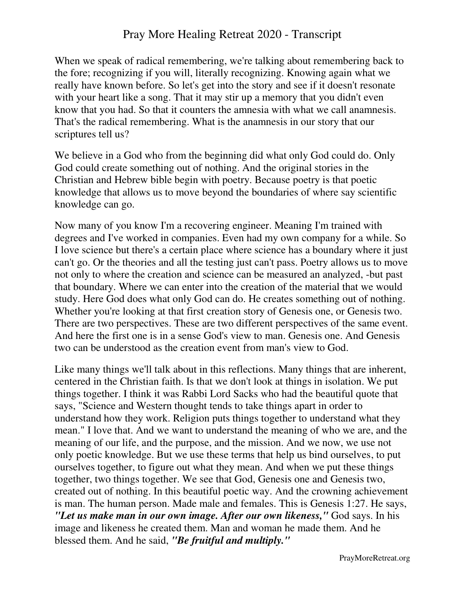When we speak of radical remembering, we're talking about remembering back to the fore; recognizing if you will, literally recognizing. Knowing again what we really have known before. So let's get into the story and see if it doesn't resonate with your heart like a song. That it may stir up a memory that you didn't even know that you had. So that it counters the amnesia with what we call anamnesis. That's the radical remembering. What is the anamnesis in our story that our scriptures tell us?

We believe in a God who from the beginning did what only God could do. Only God could create something out of nothing. And the original stories in the Christian and Hebrew bible begin with poetry. Because poetry is that poetic knowledge that allows us to move beyond the boundaries of where say scientific knowledge can go.

Now many of you know I'm a recovering engineer. Meaning I'm trained with degrees and I've worked in companies. Even had my own company for a while. So I love science but there's a certain place where science has a boundary where it just can't go. Or the theories and all the testing just can't pass. Poetry allows us to move not only to where the creation and science can be measured an analyzed, -but past that boundary. Where we can enter into the creation of the material that we would study. Here God does what only God can do. He creates something out of nothing. Whether you're looking at that first creation story of Genesis one, or Genesis two. There are two perspectives. These are two different perspectives of the same event. And here the first one is in a sense God's view to man. Genesis one. And Genesis two can be understood as the creation event from man's view to God.

Like many things we'll talk about in this reflections. Many things that are inherent, centered in the Christian faith. Is that we don't look at things in isolation. We put things together. I think it was Rabbi Lord Sacks who had the beautiful quote that says, "Science and Western thought tends to take things apart in order to understand how they work. Religion puts things together to understand what they mean." I love that. And we want to understand the meaning of who we are, and the meaning of our life, and the purpose, and the mission. And we now, we use not only poetic knowledge. But we use these terms that help us bind ourselves, to put ourselves together, to figure out what they mean. And when we put these things together, two things together. We see that God, Genesis one and Genesis two, created out of nothing. In this beautiful poetic way. And the crowning achievement is man. The human person. Made male and females. This is Genesis 1:27. He says, *"Let us make man in our own image. After our own likeness,"* God says. In his image and likeness he created them. Man and woman he made them. And he blessed them. And he said, *"Be fruitful and multiply."*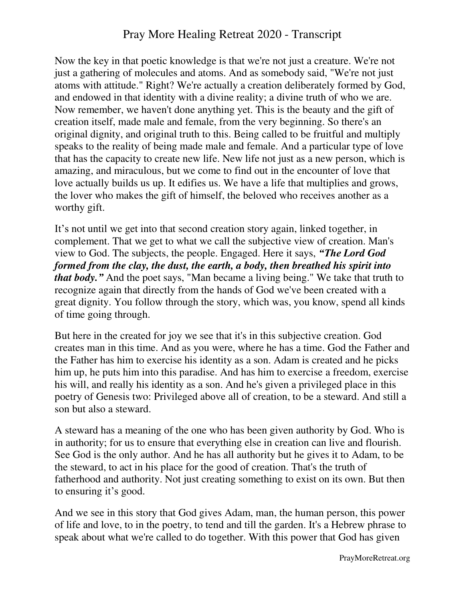Now the key in that poetic knowledge is that we're not just a creature. We're not just a gathering of molecules and atoms. And as somebody said, "We're not just atoms with attitude." Right? We're actually a creation deliberately formed by God, and endowed in that identity with a divine reality; a divine truth of who we are. Now remember, we haven't done anything yet. This is the beauty and the gift of creation itself, made male and female, from the very beginning. So there's an original dignity, and original truth to this. Being called to be fruitful and multiply speaks to the reality of being made male and female. And a particular type of love that has the capacity to create new life. New life not just as a new person, which is amazing, and miraculous, but we come to find out in the encounter of love that love actually builds us up. It edifies us. We have a life that multiplies and grows, the lover who makes the gift of himself, the beloved who receives another as a worthy gift.

It's not until we get into that second creation story again, linked together, in complement. That we get to what we call the subjective view of creation. Man's view to God. The subjects, the people. Engaged. Here it says, *"The Lord God formed from the clay, the dust, the earth, a body, then breathed his spirit into that body."* And the poet says, "Man became a living being." We take that truth to recognize again that directly from the hands of God we've been created with a great dignity. You follow through the story, which was, you know, spend all kinds of time going through.

But here in the created for joy we see that it's in this subjective creation. God creates man in this time. And as you were, where he has a time. God the Father and the Father has him to exercise his identity as a son. Adam is created and he picks him up, he puts him into this paradise. And has him to exercise a freedom, exercise his will, and really his identity as a son. And he's given a privileged place in this poetry of Genesis two: Privileged above all of creation, to be a steward. And still a son but also a steward.

A steward has a meaning of the one who has been given authority by God. Who is in authority; for us to ensure that everything else in creation can live and flourish. See God is the only author. And he has all authority but he gives it to Adam, to be the steward, to act in his place for the good of creation. That's the truth of fatherhood and authority. Not just creating something to exist on its own. But then to ensuring it's good.

And we see in this story that God gives Adam, man, the human person, this power of life and love, to in the poetry, to tend and till the garden. It's a Hebrew phrase to speak about what we're called to do together. With this power that God has given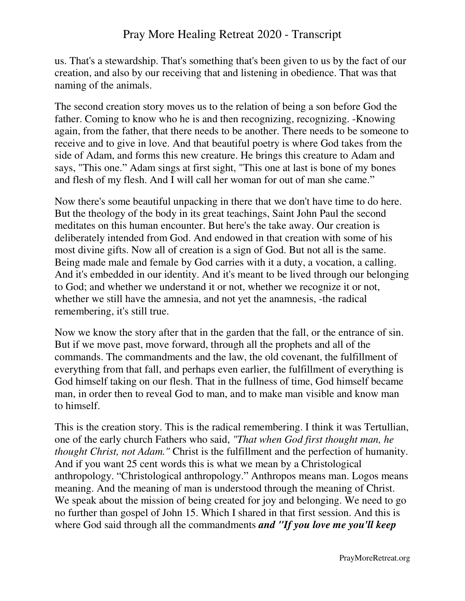us. That's a stewardship. That's something that's been given to us by the fact of our creation, and also by our receiving that and listening in obedience. That was that naming of the animals.

The second creation story moves us to the relation of being a son before God the father. Coming to know who he is and then recognizing, recognizing. -Knowing again, from the father, that there needs to be another. There needs to be someone to receive and to give in love. And that beautiful poetry is where God takes from the side of Adam, and forms this new creature. He brings this creature to Adam and says, "This one." Adam sings at first sight, "This one at last is bone of my bones and flesh of my flesh. And I will call her woman for out of man she came."

Now there's some beautiful unpacking in there that we don't have time to do here. But the theology of the body in its great teachings, Saint John Paul the second meditates on this human encounter. But here's the take away. Our creation is deliberately intended from God. And endowed in that creation with some of his most divine gifts. Now all of creation is a sign of God. But not all is the same. Being made male and female by God carries with it a duty, a vocation, a calling. And it's embedded in our identity. And it's meant to be lived through our belonging to God; and whether we understand it or not, whether we recognize it or not, whether we still have the amnesia, and not yet the anamnesis, -the radical remembering, it's still true.

Now we know the story after that in the garden that the fall, or the entrance of sin. But if we move past, move forward, through all the prophets and all of the commands. The commandments and the law, the old covenant, the fulfillment of everything from that fall, and perhaps even earlier, the fulfillment of everything is God himself taking on our flesh. That in the fullness of time, God himself became man, in order then to reveal God to man, and to make man visible and know man to himself.

This is the creation story. This is the radical remembering. I think it was Tertullian, one of the early church Fathers who said, *"That when God first thought man, he thought Christ, not Adam."* Christ is the fulfillment and the perfection of humanity. And if you want 25 cent words this is what we mean by a Christological anthropology. "Christological anthropology." Anthropos means man. Logos means meaning. And the meaning of man is understood through the meaning of Christ. We speak about the mission of being created for joy and belonging. We need to go no further than gospel of John 15. Which I shared in that first session. And this is where God said through all the commandments *and "If you love me you'll keep*